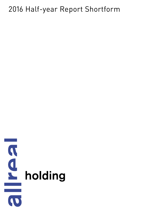# 2016 Half-year Report Shortform

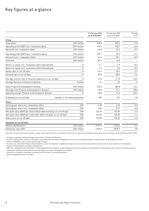# Key figures at a glance

|                                                                           | 1st half-year 2016<br>as at 30.06.2016* | 1st half-year 2015<br>as at 31.12.2015* | Change<br>in $\%$ <sup>1</sup> |
|---------------------------------------------------------------------------|-----------------------------------------|-----------------------------------------|--------------------------------|
| Group                                                                     |                                         |                                         |                                |
| CHF million<br>Total sales <sup>2</sup>                                   | 348.9                                   | 395.5                                   | $-11.8$                        |
| Operating profit (EBIT) incl. revaluation gains<br>CHF million            | 110.4                                   | 103.7                                   | $+6.5$                         |
| Net profit incl. revaluation effect<br>CHF million                        | 69.8                                    | 67.2                                    | $+3.9$                         |
| Operating profit (EBIT) excl. revaluation gains<br>CHF million            | 100.1                                   | 93.2                                    | $+7.4$                         |
| Net profit excl. revaluation effect<br>CHF million                        | 61.4                                    | 59.1                                    | $+3.9$                         |
| Cash flow<br>CHF million                                                  | 181.4                                   | 14.0                                    |                                |
| Return on equity incl. revaluation effect (annualised)                    | 7.1<br>$\%$                             | 6.9                                     | $+0.2$                         |
| Return on equity excl. revaluation effect (annualised)                    | $\%$<br>6.6                             | 6.4                                     | $+0.2$                         |
| Equity ratio on cut-off date                                              | $\%$<br>49.9                            | 48.2                                    | $+1.7$                         |
| Net gearing <sup>3</sup> on cut-off date                                  | $\%$<br>80.4                            | 88.0                                    | $-7.6$                         |
| Average interest rate on financial liabilities on cut-off date            | $\frac{0}{n}$<br>2.14                   | 2.15                                    | $-0.01$                        |
| Average duration of financial liabilities                                 | 61<br>months                            | 52                                      | $+9$                           |
| CHF million<br>Sales Projects & Development division                      | 260.2                                   | 303.8                                   | $-14.4$                        |
| Earnings from Projects & Development division <sup>4</sup><br>CHF million | 49.8                                    | 36.1                                    | $+38.0$                        |
| Operating margin Projects & Development division <sup>5</sup>             | $\frac{0}{0}$<br>48.8                   | 16.6                                    | $+32.2$                        |
| Employees on cut-off date<br>number of full-time equivalents              | 286                                     | 312                                     | $-26$                          |
| Share                                                                     |                                         |                                         |                                |
| Earnings per share incl. revaluation effect                               | CHF<br>4.38                             | 4.22                                    | $+3.8$                         |
| Earnings per share excl. revaluation effect                               | CHF<br>3.85                             | 3.71                                    | $+3.8$                         |
| Net asset value (NAV) per share before deferred taxes on cut-off date     | CHF<br>130.90                           | 132.95                                  | $-1.5$                         |
| Net asset value (NAV) per share after deferred taxes on cut-off date      | CHF<br>123.20                           | 125.35                                  | $-1.7$                         |
| Share price on cut-off date                                               | CHF<br>135.00                           | 133.60                                  | $+1.0$                         |
| Valuation on cut-off date                                                 |                                         |                                         |                                |
| CHF million<br>Market capitalisation <sup>6</sup>                         | 2151.2                                  | 2125.5                                  | $+1.2$                         |
| Enterprise value (EV)7<br>CHF million                                     | 3730.7                                  | 3879.7                                  | $-3.8$                         |

\* Should no further particulars be given, values referring to the income statement concern the 1<sup>st</sup> half-year and balance sheet value the cut-off dates on 30.06.2016 as at 31.12.2015.

<sup>1</sup> Changes in quantum and percentage values shown as absolute difference

<sup>2</sup> Income resulting from rental of investment real estate and real estate management services plus completed project volume Projects & Development division

<sup>3</sup> Financial liabilities minus cash as percentage of equity

<sup>4</sup> Income from realisation Projects & Development, sales development, capitalised company-produced assets and diverse income minus direct expenses for realisation Projects & Development and sales development

<sup>5</sup> EBIT excl. revaluation and restoration of value adjustments on projects as percentage of profit from business activity (balance of operating income, direct operating expenses, capitalised company-produced assets and earnings from sale of investment real estate)

<sup>6</sup> Stock price at balance sheet date multiplied by the number of outstanding shares

<sup>7</sup> Market capitalisation plus net debts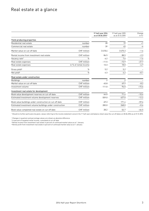# Real estate at a glance

|                                                          |                       | 1st half-year 2016<br>as at 30.06.2016* | 1st half-year 2015<br>as at 31.12.2015 | Change<br>in $%$ <sup>1</sup> |
|----------------------------------------------------------|-----------------------|-----------------------------------------|----------------------------------------|-------------------------------|
| Yield-producing properties                               |                       |                                         |                                        |                               |
| Residential real estate                                  | number                | 20                                      | 19                                     | $+1$                          |
| Commercial real estate                                   | number                | 39                                      | 43                                     | $-4$                          |
| Market value on cut-off date                             | CHF million           | 3418.6                                  | 3475.3                                 | $-1.6$                        |
| Rental income from investment real estate                | CHF million           | 86.5                                    | 88.5                                   | $-2.3$                        |
| Vacancy rate <sup>2</sup>                                | %                     | 6.2                                     | 7.6                                    | $-1.4$                        |
| Real estate expenses                                     | CHF million           | $-11.5$                                 | $-15.9$                                | $-27.7$                       |
| Real estate expenses                                     | in % of rental income | 13.3                                    | 18.0                                   | $-4.7$                        |
| Gross yield <sup>3</sup>                                 | $\%$                  | 5.2                                     | 5.2                                    |                               |
| Net yield <sup>4</sup>                                   | $\frac{0}{0}$         | 4.3                                     | 4.2                                    | $+0.1$                        |
| Real estate under construction                           |                       |                                         |                                        |                               |
| <b>Buildings</b>                                         | number                | $\overline{2}$                          | 2                                      |                               |
| Market value on cut-off date                             | CHF million           | 45.8                                    | 49.9                                   | $-8.2$                        |
| Investment volume                                        | CHF million           | 111.0                                   | 96.0                                   | $+15.6$                       |
| Investment real estate for development                   |                       |                                         |                                        |                               |
| Book value development reserves on cut-off date          | CHF million           | 64.0                                    | 71.4                                   | $-10.4$                       |
| Estimated investment volume development reserves         | CHF million           | 559.0                                   | 637.0                                  | $-12.2$                       |
| Book value buildings under construction on cut-off date  | CHF million           | 69.3                                    | 171.4                                  | $-59.6$                       |
| Estimated investment volume buildings under construction | CHF million           | 283.0                                   | 268.0                                  | $+5.6$                        |
| Book value completed real estate on cut-off date         | CHF million           | 28.2                                    | 52.7                                   | $-46.5$                       |

\* Should no further particulars be given, values referring to the income statement concern the 1st half-year and balance sheet value the cut-off dates on 30.06.2016 as at 31.12.2015.

<sup>1</sup> Changes in quantum and percentage values are shown as absolute difference

<sup>2</sup> In percent of targeted rental income, cumulated at cut-off date

 $^{\rm 3}$  Rental income from investment real estate in percent of continued market value as at 1 January

<sup>4</sup> Rental profit from investment real estate in percent of continued market value as at 1 January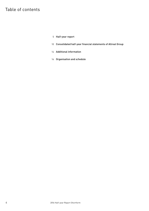# Table of contents

- Half-year report
- Consolidated half-year financial statements of Allreal Group
- Additional information
- Organisation and schedule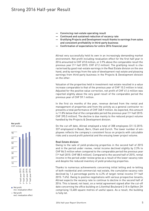- Convincing real-estate operating result
- Continued and sustained reduction of vacancy rate
- Gratifying Projects and Development result thanks to earnings from sales and consistent profitability in third-party business
- Confirmation of expectations for entire 2016 financial year

Allreal very successfully held its own in an increasingly demanding market environment. Net profit including revaluation effect for the first half year in 2016 amounted to CHF 69.8 million, or 3.9% above the comparable result the previous year (1st half 2015: CHF 67.2 million). The gratifying result is characterised by good real-estate earnings in the Real Estate division on the one hand, and by earnings from the sale of development real estate and pleasing earnings from third-party business in the Projects & Development division on the other.

Valuation of the properties held in investment real estate resulted in a value increase comparable to that of the previous year of CHF 10.3 million in total. Adjusted for the positive value correction, net profit of CHF 61.4 million was reported slightly above the very good result of the comparable period the previous year of CHF 59.1 million.

In the first six months of the year, revenue derived from the rental and management of properties and from the activity as a general contractor represents a total performance of CHF 348.9 million. As expected, this amount is 11.8% below that of the comparable period the previous year  $(1^{st}$  half 2015: CHF 395.5 million). The decline is due mainly to the reduced project volume handled by the Projects & Development division.

On the cut-off date, Allreal employed a total of 308 employees (31.12.2015: 337 employees) in Basel, Bern, Cham and Zurich. The lower number of employees reflects the company's consistent focus on projects with calculable risks and a sound profit potential and the ensuing lower project volume.

#### Real Estate division

Owing to the sale of yield-producing properties in the second half of 2015 and in the period under review, rental income declined slightly by 2.3% to CHF 86.5 million when compared to the comparable period the previous year (1st half 2015: CHF 88.5 million). Compared to the second half of 2015, rental income in the period under review grew as a result of the lower vacancy rate and despite the reduced inventory of yield-producing properties.

Thanks to numerous achievements concerning initial letting and re-letting of both residential and commercial real estate, the cumulative vacancy rate declined by 1.4 percentage points to 6.2% of target rental income (1st half 2015: 7.6%). Owing to positive negotiations with various prospective tenants, Allreal expects the vacancy rate to continue to decline in the second half of 2016. This is based, not least, on a rental agreement signed after the cut-off date concerning the office building on Lilienthal Boulevard 2–8 in Opfikon ZH comprising 13,400 square metres of useful space. As a result, the building is fully let.

#### Net profit CHF million



Net profit incl. revaluation effect

excl. revaluation effect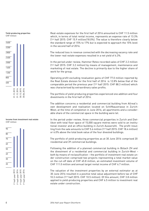



#### Income from investment real estate CHF million



Real-estate expenses for the first half of 2016 amounted to CHF 11.5 million which, in terms of total rental income, represents an expense rate of 13.3% (1st half 2015: CHF 15.9 million/18.0%). The value is therefore clearly below the standard range of 15% to 17% but is expected to approach the 15% level in the second half of 2016.

The reduced loss in revenue connected with the decreasing vacancy rate and the lower real-estate expenses resulted in a net yield of 4.3%.

In the period under review, Hammer Retex recorded sales of CHF 2.2 million (1st half 2015: CHF 3.2 million) by means of management, maintenance and marketing of real estate. The decline is primarily due to the higher share of work for the group.

Operating profit excluding revaluation gains of CHF 77.0 million reported by the Real Estate division for the first half of 2016 is 12.8% below that of the comparable period the previous year (1st half 2015: CHF 88.3 million) which was characterised by extraordinary sales profits.

The portfolio of yield-producing properties experienced one addition and four divestments in the first half of 2016.

The addition concerns a residential and commercial building from Allreal's own development and realisation located on Schiffbaustrasse in Zurich-West; at the time of completion in June 2016, all apartments and a considerable share of the commercial space in the building were let.

In the period under review, three commercial properties in Zurich and Dietlikon with total floor space of 15,000 square metres were sold to an institutional investor and an office building in Zurich Aussersihl. The profit resulting from the sale amounts to CHF 5.6 million (1st half 2015: CHF 18.4 million) or 6.0% above the total book value of the four divested buildings.

The portfolio of yield-producing properties as at 30 June 2016 comprised 20 residential and 39 commercial buildings.

Following the addition of a planned commercial building in Bülach ZH and the divestment of a residential and commercial building in Zurich-West – both by means of reclassification – the portfolio of investment real estate under construction comprised two projects representing a total market value on the cut-off date of CHF 45.8 million, an estimated investment volume of CHF 111.0 million and annual target rental income of CHF 6.7 million.

The valuation of the investment properties by an external estimator as at 30 June 2016 resulted in a positive total value adjustment before tax of CHF 10.3 million (1st half 2015: CHF 10.5 million). Of this amount, CHF 3.8 million applied to yield-producing properties and CHF 6.5 million to investment real estate under construction.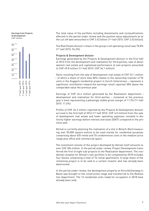Earnings from Projects & Development CHF million



The total value of the portfolio including divestments and reclassifications effected in the period under review and the positive value adjustments as at the cut-off date amounted to CHF 3.42 billion (1st half 2015: CHF 3.53 billion).

The Real Estate division's share in the group's net operating result was 70.8% (1st half 2015: 94.2%).

#### Projects & Development division

Earnings generated by the Projects & Development division in the first half of 2016 from the development and realisation for third parties, sale of development real estate and capitalised performance of own projects amounted to CHF 49.8 million (1st half 2015: CHF 36.1 million).

Gains resulting from the sale of development real estate of CHF 22.1 million – of which a share of more than 80% relates to the ownership transfer of 90 units in the Guggach residential project in Zurich Unterstrass – represent a significant contribution toward the earnings result reported 38% above the comparable value the previous year.

Earnings of CHF 24.4 million generated by the Realisation department – development and realisation for third parties – remained at the previous year's level representing a pleasingly stable gross margin of 11.3% (1<sup>st</sup> half 2015: 11.6%).

Profits of CHF 24.3 million reported by the Projects & Development division accrued in the first half of 2016 (1st half 2015: CHF 6.0 million) from the sale of development real estate and lower operating expenses resulted in distinctly higher earnings before interest and taxes (EBIT) compared to the previous year.

Allreal is currently planning the realisation of a site in Bülach-Nord measuring over 55,000 square metres to be used mainly for residential purposes comprising about 420 rental and 70 condominium units in the medium price range plus office and commercial space.

The investment volume of the project developed by Allreal itself amounts to over CHF 306 million. In the period under review, Project Development transferred the first of eight sub-projects to the Realisation department. The residential complex for Allreal's own portfolio to be completed by 2018 includes four blocks comprising a total of 76 rental apartments. A large share of the remaining project is to be sold to a certain investor who has already been determined.

In the period under review, the development property on Kirschblütenweg in Basel was brought to the construction stage and transferred to the Realisation department. The 12 residential units ready for occupation in 2018 have already been sold.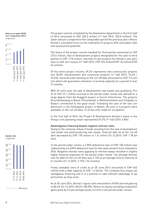Return on equity (RoE) incl. revaluation effect in percent



Equity ratio in percent



The project volume completed by the Realisation department in the first half of 2016 amounted to CHF 260.2 million (1st half 2015: 303.8 million). The lower amount compared to the comparable period the previous year reflects Allreal's consistent focus on the realisation of projects with calculable risks and sound profit potential.

The share of the project volume handled for third parties amounted to CHF 215.5 million, that of development projects designated for the sale to third parties to CHF 17.8 million, and that of own projects for Allreal's own portfolio to CHF 26.9 million (1st half 2015: CHF 224 million/CHF 36 million/CHF 44 million).

Of the entire project volume, 69.2% represents new construction projects and 30.8% refurbishment and conversion projects (1st half 2015: 76.4% / 23.6%). Secured order backlog on the cut-off date amounted to CHF 714 million which will guarantee utilisation of existing capacity for a period of over 12 months.

With 49 units sold, the sale of development real estate was gratifying. Profit of CHF 22.1 million accrued in the period under review was derived to a large degree from the Guggach project in Zurich Unterstrass. The projects Kirschblütenweg in Basel, Pfruendmatt in Mettmenstetten and Cholplatz in Bülach contributed to the good result. Following the sale of the last condominium in the Holengasse project in Meilen, 38 units in 6 projects were available on the cut-off date, 14 of the units ready for occupation.

In the first half of 2016, the Project & Development division's share in the Group's net operating result represented 29.2% (1st half 2015: 5.8%).

#### Advantageous financing despite negative interest rates

Owing to the immense inflow of funds resulting from the sale of development real estate and yield-producing real estate, financial debt as at the cut-off date decreased by CHF 170 million to 1.61 billion (31.12.2015: CHF 1.78 billion).

In the period under review, a 2.50% debenture loan of CHF 150 million was redeemed by a 0.625% debenture loan for the same amount to be released in 2024. Negative interest rates applying to interest swaps resulted in slightly higher financial expenses for the period under review. The average interest rate for debt on the cut-off date was 2.14% at an average time to maturity of 61 months (31.12.2015: 2.15% / 52 months).

Freely available lines of credit as at 30 June 2016 amounted to CHF 643 million with a debt capacity of CHF 1.4 billion. The company thus enjoys advantageous financing and is in a position to take efficient advantage of opportunities as they arise.

As at 30 June 2016, Allreal's equity ratio amounted to 49.8% and net gearing to 80.4% (31.12.2015: 48.2% / 88.0%). Return on equity excluding revaluation gains grew by 0.2 percentage points to 6.6% in the period under review.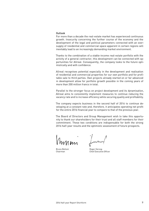#### Outlook

For more than a decade the real-estate market has experienced continuous growth. Insecurity concerning the further course of the economy and the development of the legal and political parameters connected with an oversupply of residential and commercial space apparent in certain regions will inevitably lead to an increasingly demanding market environment.

Thanks to the combination of a stable-income real-estate portfolio with the activity of a general contractor, this development can be connected with opportunities for Allreal. Consequently, the company looks to the future optimistically and with confidence.

Allreal recognises potential especially in the development and realisation of residential and commercial properties for our own portfolio and for profitable sale to third parties. Own projects already started on or far advanced in development allow for portfolio growth possible in the coming years of more than 200 million francs in total.

Parallel to the stronger focus on project development and its dynamisation, Allreal aims to consistently implement measures to continue reducing the vacancy rate and to increase efficiency while securing quality and profitability.

The company expects business in the second half of 2016 to continue developing at a constant rate and, therefore, it anticipates operating net profit for the entire 2016 financial year to compare to that of the previous year.

The Board of Directors and Group Management wish to take this opportunity to thank our shareholders for their trust and all staff members for their commitment. These two conditions are indispensable for both the strong 2016 half-year results and the optimistic assessment of future prospects.

MAam

Bruno Bettoni Chairman

Roger Herzog Chief Executive Officer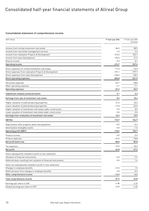# Consolidated half-year financial statements of Allreal Group

### Consolidated statement of comprehensive income

| CHF million                                                      | 1st half-year 2016 | 1st half-year 2015<br>reviewed |
|------------------------------------------------------------------|--------------------|--------------------------------|
| Income from renting investment real estate                       | 86.5               | 88.5                           |
| Income from real estate management services                      | 2.2                | 3.2                            |
| Income from realisation Projects & Development                   | 215.5              | 223.7                          |
| Income from sales Development                                    | 170.3              | 31.9                           |
| Diverse income                                                   | 0.2                | 0.1                            |
| Operating income                                                 | 474.7              | 347.4                          |
| Direct expenses for rented investment real estate                | $-11.5$            | $-15.9$                        |
| Direct expenses from realisation Projects & Development          | $-191.1$           | $-197.7$                       |
| Direct expenses from sales Development                           | $-148.2$           | $-28.3$                        |
| Direct operating expenses                                        | $-350.8$           | -241.9                         |
| Personnel expenses                                               | $-25.1$            | $-28.8$                        |
| Other operating expenses                                         | $-7.1$             | $-7.1$                         |
| Operating expenses                                               | $-32.2$            | $-35.9$                        |
| Capitalised company-produced assets                              | 3.1                | 6.4                            |
| Earnings from sale of investment real estate                     | 5.6                | 18.4                           |
| Higher valuation of yield-producing properties                   | 21.6               | 35.5                           |
| Lower valuation of yield-producing properties                    | $-17.8$            | $-33.5$                        |
| Higher valuation of investment real estate under construction    | 6.5                | 8.5                            |
| Lower valuation of investment real estate under construction     | 0.0                | 0.0                            |
| Earnings from revaluation of investment real estate              | 10.3               | 10.5                           |
| <b>EBITDA</b>                                                    | 110.7              | 104.9                          |
| Depreciation other property, plant and equipment                 | $-0.3$             | $-0.2$                         |
| Amortisation intangible assets                                   | 0.0                | $-1.0$                         |
| <b>Operating profit (EBIT)</b>                                   | 110.4              | 103.7                          |
| Finance income                                                   | 0.9                | 0.9                            |
| Finance expenses                                                 | $-22.5$            | $-18.8$                        |
| Net profit before tax                                            | 88.8               | 85.8                           |
| Tax expenses                                                     | $-19.0$            | $-18.6$                        |
| Net profit                                                       | 69.8               | 67.2                           |
| Items subsequently restated in profit or loss statement:         |                    |                                |
| Valuation of financial instruments                               | $-2.5$             | $-7.2$                         |
| Deferred taxes resulting from valuation of financial instruments | 0.5                | 1.6                            |
| Items not subsequently restated in profit or loss statement:     |                    |                                |
| Changes in employee benefits                                     | $-13.5$            | 1.5                            |
| Deferred taxes from changes in employee benefits                 | 3.0                | $-0.3$                         |
| Other comprehensive income                                       | $-12.5$            | $-4.4$                         |
| Total comprehensive income                                       | 57.3               | 62.8                           |
| Earnings per share in CHF                                        | 4.38               | 4.22                           |
| Diluted earnings per share in CHF                                | 4.39               | 4.23                           |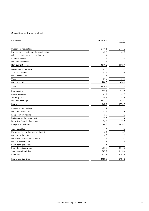# Consolidated balance sheet

| CHF million                               | 30.06.2016 | 31.12.2015<br>audited |
|-------------------------------------------|------------|-----------------------|
|                                           |            |                       |
| Investment real estate                    | 3418.6     | 3475.3                |
| Investment real estate under construction | 45.8       | 49.9                  |
| Other property, plant and equipment       | 1.4        | 1.6                   |
| Financial assets                          | 139.7      | 143.4                 |
| Deferred tax assets                       | 41.5       | 42.2                  |
| Non-current assets                        | 3647.0     | 3712.4                |
| Development real estate                   | 161.5      | 295.5                 |
| Trade receivables                         | 87.6       | 96.4                  |
| Other receivables                         | 11.5       | 8.3                   |
| Cash                                      | 27.7       | 23.4                  |
| <b>Current assets</b>                     | 288.3      | 423.6                 |
| Assets                                    | 3935.3     | 4136.0                |
| Share capital                             | 797.1      | 797.1                 |
| Capital reserves                          | 141.1      | 232.7                 |
| Treasury shares                           | $-0.8$     | $-4.4$                |
| Retained earnings                         | 1026.0     | 968.7                 |
| Equity                                    | 1963.4     | 1994.1                |
| Long-term borrowings                      | 922.2      | 774.1                 |
| Deferred tax liabilities                  | 164.1      | 163.4                 |
| Long-term provisions                      | 2.7        | 3.0                   |
| Liabilities staff pension fund            | 18.4       | 4.2                   |
| Derivative financial instruments          | 76.6       | 71.8                  |
| Long-term liabilities                     | 1184.0     | 1016.5                |
| Trade payables                            | 66.4       | 62.7                  |
| Payments for development real estate      | 8.9        | 24.1                  |
| Current tax liabilities                   | 0.0        | 9.1                   |
| Derivative financial instruments          | 1.8        | 0.0                   |
| Other current liabilities                 | 21.4       | 21.9                  |
| Short-term provisions                     | 4.4        | 4.1                   |
| Short-term borrowings                     | 685.0      | 1003.5                |
| Short-term liabilities                    | 787.9      | 1125.4                |
| Liabilities                               | 1971.9     | 2141.9                |
| <b>Equity and liabilities</b>             | 3935.3     | 4136.0                |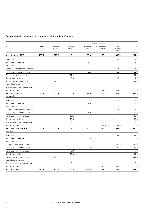# Consolidated statement of changes in shareholders' equity

|                                                   |                  |                     |                    |                     | Retained earnings       |                               |         |
|---------------------------------------------------|------------------|---------------------|--------------------|---------------------|-------------------------|-------------------------------|---------|
| CHF million                                       | Share<br>capital | Capital<br>reserves | Treasury<br>shares | Hedging<br>reserves | Revaluation<br>reserves | Other<br>retained<br>reserves | Total   |
| As at 1 January 2015                              | 797.1            | 320.2               | $-0.1$             | $-50.6$             | 85.1                    | 802.3                         | 1954.0  |
| Net profit                                        |                  |                     |                    |                     |                         | 67.2                          | 67.2    |
| Valuation of financial<br>instruments             |                  |                     |                    | $-5.6$              |                         |                               | $-5.6$  |
| Changes in employee benefits                      |                  |                     |                    |                     |                         | 1.2                           | 1.2     |
| Total comprehensive income                        |                  |                     |                    | $-5.6$              |                         | 68.4                          | 62.8    |
| Purchase treasury shares                          |                  |                     | $-17.1$            |                     |                         |                               | $-17.1$ |
| Sale treasury shares                              |                  |                     | 9.8                |                     |                         | $-0.1$                        | 9.7     |
| Pay-out of reserves from<br>capital contributions |                  | $-87.5$             |                    |                     |                         |                               | $-87.5$ |
| Share-based reimbursement                         |                  |                     | 0.1                |                     |                         |                               | 0.1     |
| Reclassification                                  |                  |                     |                    |                     | 19.3                    | $-19.3$                       | 0.0     |
| As at 30 June 2015<br>(reviewed)                  | 797.1            | 232.7               | $-7.3$             | $-56.2$             | 104.4                   | 851.3                         | 1922.0  |
| Net profit                                        |                  |                     |                    |                     |                         | 54.7                          | 54.7    |
| Valuation of financial<br>instruments             |                  |                     |                    | 6.8                 |                         |                               | 6.8     |
| Changes in employee benefits                      |                  |                     |                    |                     |                         | 7.7                           | 7.7     |
| Total comprehensive income                        |                  |                     |                    | 6.8                 |                         | 62.4                          | 69.2    |
| Purchase treasury shares                          |                  |                     | $-10.5$            |                     |                         |                               | $-10.5$ |
| Sale treasury shares                              |                  |                     | 13.3               |                     |                         |                               | 13.3    |
| Share-based reimbursement                         |                  |                     | 0.1                |                     |                         |                               | 0.1     |
| Reclassification                                  |                  |                     |                    |                     | 12.0                    | $-12.0$                       | 0.0     |
| As at 31 December 2015<br>(audited)               | 797.1            | 232.7               | $-4.4$             | $-49.4$             | 116.4                   | 901.7                         | 1994.1  |
| Net profit                                        |                  |                     |                    |                     |                         | 69.8                          | 69.8    |
| Valuation of financial<br>instruments             |                  |                     |                    | $-2.0$              |                         |                               | $-2.0$  |
| Changes in employee benefits                      |                  |                     |                    |                     |                         | $-10.5$                       | $-10.5$ |
| Total comprehensive income                        |                  |                     |                    | $-2.0$              |                         | 59.3                          | 57.3    |
| Purchase treasury shares                          |                  |                     | $-7.9$             |                     |                         |                               | $-7.9$  |
| Sale treasury shares                              |                  |                     | 11.4               |                     |                         |                               | 11.4    |
| Pay-out of reserves from<br>capital contributions |                  | $-91.6$             |                    |                     |                         |                               | $-91.6$ |
| Share-based reimbursement                         |                  |                     | 0.1                |                     |                         |                               | 0.1     |
| Reclassification                                  |                  |                     |                    |                     | 26.9                    | $-26.9$                       | 0.0     |
| As at 30 June 2016                                | 797.1            | 141.1               | $-0.8$             | $-51.4$             | 143.3                   | 934.1                         | 1963.4  |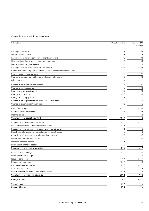# Consolidated cash flow statement

| CHF million                                                          | 1st half-year 2016 | 1st half-year 2015<br>reviewed |
|----------------------------------------------------------------------|--------------------|--------------------------------|
| Earnings before tax                                                  | 88.8               | 85.8                           |
| Net financial expense                                                | 21.6               | 17.9                           |
| Earnings from revaluation of investment real estate                  | $-10.3$            | $-10.5$                        |
| Depreciation other property, plant and equipment                     | 0.3                | 0.2                            |
| Depreciation intangible assets                                       | 0.0                | 1.0                            |
| Earnings from sale of investment real estate                         | $-5.6$             | $-18.4$                        |
| Capitalisation of company-produced assets in development real estate | $-2.1$             | $-4.7$                         |
| Share-based reimbursement                                            | 0.1                | 0.1                            |
| Change in pension fund obligations affecting net income              | 0.6                | 0.8                            |
| Other items                                                          | 0.4                | 1.1                            |
| Change in development real estate                                    | 134.5              | $-0.1$                         |
| Change in trade receivables                                          | 8.8                | $-3.5$                         |
| Change in other receivables                                          | $-3.2$             | 2.8                            |
| Change in provisions                                                 | $-0.3$             | 0.2                            |
| Change in trade payables                                             | 3.8                | $-3.2$                         |
| Change in down payments for development real estate                  | -15.2              | 5.4                            |
| Change in other current liabilities                                  | $-0.5$             | $-23.3$                        |
| Cost of finance paid                                                 | $-22.1$            | $-20.0$                        |
| Financial income received                                            | 0.9                | 0.9                            |
| Income tax paid                                                      | $-19.1$            | $-18.5$                        |
| Cash flow from operating activities                                  | 181.4              | 14.0                           |
| Acquisition of investment real estate                                | $-7.0$             | $-12.7$                        |
| Proceeds from sale of investment real estate                         | 98.8               | 88.2                           |
| Investment in investment real estate under construction              | $-13.6$            | $-6.0$                         |
| Divestment of investment real estate under construction              | 0.0                | 0.0                            |
| Acquisition of other property, plant and equipment                   | 0.1                | $-0.3$                         |
| Divestment of other fixed assets                                     | 0.0                | 0.0                            |
| Increase financial assets                                            | $-2.6$             | $-11.3$                        |
| Decrease in financial assets                                         | 5.8                | 4.2                            |
| Cash flow from investing activities                                  | 81.5               | 62.1                           |
| Increase in borrowings                                               | 65.0               | 95.0                           |
| Decrease in borrowings                                               | $-235.0$           | $-311.9$                       |
| Issue of bond loan                                                   | 149.4              | 221.1                          |
| Repayment bond loan                                                  | $-150.0$           | 0.0                            |
| Purchase treasury shares                                             | $-7.9$             | $-17.1$                        |
| Sale treasury shares                                                 | 11.5               | 9.8                            |
| Payout of reserves from capital contributions                        | $-91.6$            | $-87.5$                        |
| Cash flow from financing activities                                  | $-258.6$           | $-90.6$                        |
| Change in cash                                                       | 4.3                | $-14.5$                        |
| Cash at 1 January                                                    | 23.4               | 31.9                           |
| Cash at 30 June                                                      | 27.7               | 17.4                           |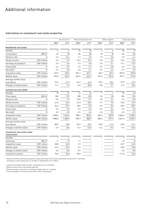# Additional information

### Information on investment real estate properties

|                                              |                     |              | City of Zurich | Rest of Canton Zurich |         |        | Other regions |                | T otal real estate |
|----------------------------------------------|---------------------|--------------|----------------|-----------------------|---------|--------|---------------|----------------|--------------------|
|                                              |                     | 2016*        | 2015*          | 2016*                 | 2015*   | 2016*  | 2015*         | 2016*          | 2015*              |
| Residential real estate                      |                     |              |                |                       |         |        |               |                |                    |
| Number                                       |                     | 6            | 5              | 10                    | 10      | 4      | 4             | 20             | 19                 |
| Living space                                 | $000 \; \text{m}^2$ | 22           | 20             | 86                    | 86      | 18     | 18            | 126            | 124                |
| Vacancy rate <sup>1</sup>                    | $\%$                | 6.2          | 16.4           | 1.7                   | 3.0     | 1.9    | 5.0           | 2.7            | 6.1                |
| Rental income                                | CHF million         | 3.3          | 2.9            | 10.2                  | 10.3    | 2.5    | 2.4           | 16.0           | 15.6               |
| Earnings on property <sup>2</sup>            | CHF million         | 2.9          | 2.6            | 9.2                   | 9.0     | 2.0    | 2.1           | 14.1           | 13.7               |
| Gross yield                                  | $\%$                | 4.2          | 3.9            | 4.4                   | 4.7     | 4.9    | 5.0           | 4.4            | 4.6                |
| Net yield <sup>3</sup>                       | $\%$                | 3.7          | 3.5            | 4.0                   | 4.1     | 3.9    | 4.3           | 3.9            | 4.0                |
| Acquisition value                            | CHF million         | 142.2        | 120.4          | 331.1                 | 331.1   | 84.2   | 84.3          | 557.5          | 535.8              |
| Market value                                 | CHF million         | 193.0        | 155.3          | 462.6                 | 462.7   | 101.6  | 101.6         | 757.2          | 719.6              |
| Average market value                         |                     |              |                |                       |         |        |               |                |                    |
| by property                                  | CHF million         | 32.2         | 31.3           | 46.3                  | 46.3    | 25.4   | 25.4          | 37.9           | 37.9               |
| Change in market value <sup>4</sup>          | CHF million         | 11.4         | 3.9            | 0.0                   | 20.8    | 0.0    | 3.7           | 11.4           | 28.4               |
| <b>Commercial real estate</b>                |                     |              |                |                       |         |        |               |                |                    |
| Number                                       |                     | 18           | 21             | 14                    | 15      | 7      | 7             | 39             | 43                 |
| Floor space                                  | $000 \; \text{m}^2$ | 304          | 319            | 200                   | 203     | 52     | 52            | 556            | 574                |
| Vacancy rate <sup>1</sup>                    | $\%$                | 5.5          | 7.4            | 10.0                  | 11.2    | 6.3    | 2.2           | 7.0            | 8.0                |
| Rental income                                | CHF million         | 41.8         | 43.3           | 21.0                  | 20.6    | 7.7    | 9.0           | 70.5           | 72.9               |
| Earnings on property <sup>2</sup>            | CHF million         | 36.4         | 33.1           | 18.0                  | 17.8    | 6.5    | 8.0           | 60.9           | 58.9               |
| Gross yield                                  | $\%$                | 5.2          | 5.2            | 5.3                   | 5.3     | 5.2    | 5.6           | 5.2            | 5.3                |
| Net yield <sup>3</sup>                       | $\frac{0}{0}$       | 4.5          | 4.0            | 4.5                   | 4.6     | 4.5    | 5.0           | 4.5            | 4.3                |
| Acquisition value                            | CHF million         | 1558.6       | 1622.6         | 798.4                 | 822.6   | 303.2  | 303.0         | 2660.2         | 2748.2             |
| Market value                                 | CHF million         | 1588.0       | 1655.6         | 787.9                 | 808.7   | 285.5  | 291.4         | 2661.4         | 2755.7             |
| Average market value                         |                     |              |                |                       |         |        |               |                |                    |
| by property                                  | CHF million         | 88.2         | 78.8           | 56.3                  | 53.9    | 40.8   | 41.6          | 68.2           | 64.1               |
| Change in market value <sup>4</sup>          | CHF million         | 2.9          | $-8.6$         | $-4.3$                | $-12.5$ | $-6.2$ | $-5.3$        | $-7.6$         | $-26.4$            |
| Investment real estate under<br>construction |                     |              |                |                       |         |        |               |                |                    |
| Number                                       |                     | $\mathbf{1}$ | $\sqrt{2}$     | $\mathbf{1}$          |         |        |               | $\overline{2}$ | $\overline{2}$     |
| Land area                                    | $000 \; \text{m}^2$ | 11           | 13             | 11                    |         |        |               | 22             | 13                 |
| Acquisition value                            | CHF million         | 28.8         | 36.8           | 1.9                   |         |        |               | 30.7           | 26.0               |
| Market value                                 | CHF million         | 43.4         | 49.9           | 2.4                   |         |        |               | 45.8           | 33.8               |
| Change in market value <sup>4</sup>          | CHF million         | 6.0          | 8.5            | 0.5                   |         |        |               | 6.5            | 8.5                |
| Investment volume                            | CHF million         | 73.0         | 96.0           | 38.0                  |         |        |               | 111.0          | 96.0               |
|                                              |                     |              |                |                       |         |        |               |                |                    |

\* Should no further particulars be given, values referring to the income statement concern the 1st half-year, and balance sheet values the cut-off date on 30.06.2016 or 31.12.2015.

<sup>1</sup> In percent of target rental income, cumulative as at cut-off date

<sup>2</sup> Rental income minus real estate expenses

<sup>3</sup> Rental earnings in percent of continued market value on 1 January

<sup>4</sup> From revaluation in first half-year 2016 or 2015 respectively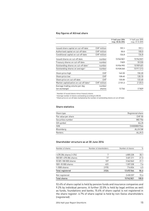### Key figures of Allreal share

|                                                    |                  | 1st half-year 2016<br>resp. 30.06.2016 | 1st half-year 2015<br>resp. 31.12.2015 |
|----------------------------------------------------|------------------|----------------------------------------|----------------------------------------|
| Issued share capital on cut-off date               | CHF million      | 797.1                                  | 797.1                                  |
| Authorised capital on cut-off date                 | CHF million      | 50.0                                   | 100.0                                  |
| Conditional capital on cut-off date                | CHF million      | 134.8                                  | 134.8                                  |
| Issued shares on cut-off date                      | number           | 15942821                               | 15942821                               |
| Treasury shares on cut-off date                    | number           | 7829                                   | 33 2 2 0                               |
| Outstanding shares on cut-off date <sup>1</sup>    | number           | 15934992                               | 15 909 601                             |
| Outstanding shares on average <sup>2</sup>         | number           | 15928240                               | 15 911 213                             |
| Share price high                                   | <b>CHF</b>       | 142.20                                 | 150.20                                 |
| Share price low                                    | <b>CHF</b>       | 128.40                                 | 128.10                                 |
| Share price on cut-off date                        | <b>CHF</b>       | 135.00                                 | 133.60                                 |
| Market capitalisation on cut-off date <sup>3</sup> | CHF million      | 2 1 5 1 . 2                            | 2 1 2 5 . 5                            |
| Average trading volume per day<br>(on exchange)    | number<br>shares | 12746                                  | 17829                                  |
|                                                    |                  |                                        |                                        |

<sup>1</sup> Number of issued shares minus treasury shares

<sup>2</sup> Average number of shares outstanding according to IAS 33

<sup>3</sup> Share price on cut-off date multiplied by the number of outstanding shares on cut-off date

### Share statistics

| Share type          | Registered share |
|---------------------|------------------|
| Par value per share | <b>CHF 50</b>    |
| Securities number   | 883756           |
| SIX symbol          | ALLN             |
| <b>ISIN</b>         | CH0008837566     |
| Bloomberg           | <b>ALLN SW</b>   |
| Renters             | ALLN.S           |
|                     |                  |

## Shareholder structure as at 30 June 2016

| Number of shares        | Number of shareholders | Number of shares | $\%$  |
|-------------------------|------------------------|------------------|-------|
|                         |                        |                  |       |
| >478 284 shares (>3%)   | 7                      | 4805228          | 30.1  |
| 100 001-478 284 shares  | 17                     | 3401211          | 21.3  |
| 10 001-100 000 shares   | 107                    | 3362063          | 21.1  |
| 1001-10 000 shares      | 423                    | 1207228          | 7.6   |
| $1-1000$ shares         | 2970                   | 716834           | 4.5   |
| <b>Total registered</b> | 3524                   | 13492564         | 84.6  |
| Not registered          |                        | 2450257          | 15.4  |
| <b>Total shares</b>     |                        | 15942821         | 100.0 |

53.4% of share capital is held by pension funds and insurance companies and 9.2% by individual persons. A further 22.0% is held by legal entities as well as funds, foundations and banks. 15.4% of share capital is not registered in the share register. 6.7% of share capital is held by non-Swiss shareholders (registered).